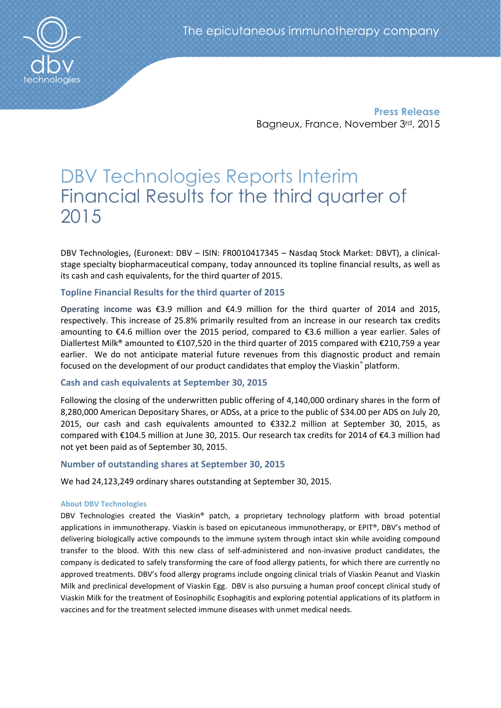

Press Release Bagneux, France, November 3rd, 2015

# DBV Technologies Reports Interim Financial Results for the third quarter of 2015

DBV Technologies, (Euronext: DBV – ISIN: FR0010417345 – Nasdaq Stock Market: DBVT), a clinicalstage specialty biopharmaceutical company, today announced its topline financial results, as well as its cash and cash equivalents, for the third quarter of 2015.

# Topline Financial Results for the third quarter of 2015

Operating income was €3.9 million and €4.9 million for the third quarter of 2014 and 2015. respectively. This increase of 25.8% primarily resulted from an increase in our research tax credits amounting to €4.6 million over the 2015 period, compared to €3.6 million a year earlier. Sales of Diallertest Milk® amounted to €107,520 in the third quarter of 2015 compared with €210,759 a year earlier. We do not anticipate material future revenues from this diagnostic product and remain focused on the development of our product candidates that employ the Viaskin*®* platform.

# Cash and cash equivalents at September 30, 2015

Following the closing of the underwritten public offering of 4,140,000 ordinary shares in the form of 8,280,000 American Depositary Shares, or ADSs, at a price to the public of \$34.00 per ADS on July 20, 2015, our cash and cash equivalents amounted to €332.2 million at September 30, 2015, as compared with €104.5 million at June 30, 2015. Our research tax credits for 2014 of €4.3 million had not yet been paid as of September 30, 2015.

# Number of outstanding shares at September 30, 2015

We had 24,123,249 ordinary shares outstanding at September 30, 2015.

## About DBV Technologies

DBV Technologies created the Viaskin® patch, a proprietary technology platform with broad potential applications in immunotherapy. Viaskin is based on epicutaneous immunotherapy, or EPIT®, DBV's method of delivering biologically active compounds to the immune system through intact skin while avoiding compound transfer to the blood. With this new class of self-administered and non-invasive product candidates, the company is dedicated to safely transforming the care of food allergy patients, for which there are currently no approved treatments. DBV's food allergy programs include ongoing clinical trials of Viaskin Peanut and Viaskin Milk and preclinical development of Viaskin Egg. DBV is also pursuing a human proof concept clinical study of Viaskin Milk for the treatment of Eosinophilic Esophagitis and exploring potential applications of its platform in vaccines and for the treatment selected immune diseases with unmet medical needs.